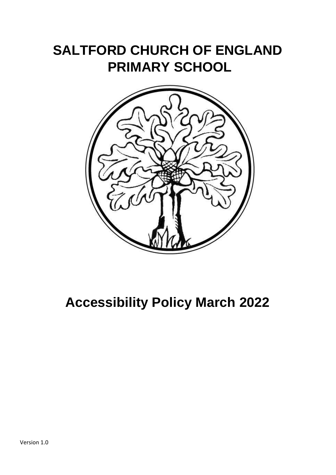# **SALTFORD CHURCH OF ENGLAND PRIMARY SCHOOL**



# **Accessibility Policy March 2022**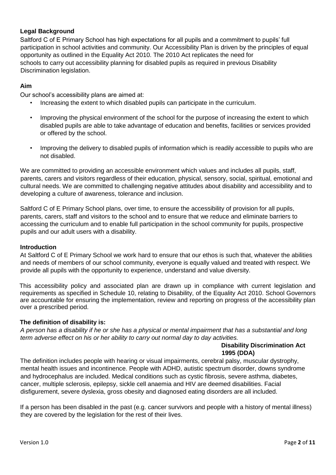# **Legal Background**

Saltford C of E Primary School has high expectations for all pupils and a commitment to pupils' full participation in school activities and community. Our Accessibility Plan is driven by the principles of equal opportunity as outlined in the Equality Act 2010. The 2010 Act replicates the need for schools to carry out accessibility planning for disabled pupils as required in previous Disability Discrimination legislation.

### **Aim**

Our school's accessibility plans are aimed at:

- Increasing the extent to which disabled pupils can participate in the curriculum.
- Improving the physical environment of the school for the purpose of increasing the extent to which disabled pupils are able to take advantage of education and benefits, facilities or services provided or offered by the school.
- Improving the delivery to disabled pupils of information which is readily accessible to pupils who are not disabled.

We are committed to providing an accessible environment which values and includes all pupils, staff, parents, carers and visitors regardless of their education, physical, sensory, social, spiritual, emotional and cultural needs. We are committed to challenging negative attitudes about disability and accessibility and to developing a culture of awareness, tolerance and inclusion.

Saltford C of E Primary School plans, over time, to ensure the accessibility of provision for all pupils, parents, carers, staff and visitors to the school and to ensure that we reduce and eliminate barriers to accessing the curriculum and to enable full participation in the school community for pupils, prospective pupils and our adult users with a disability.

#### **Introduction**

At Saltford C of E Primary School we work hard to ensure that our ethos is such that, whatever the abilities and needs of members of our school community, everyone is equally valued and treated with respect. We provide all pupils with the opportunity to experience, understand and value diversity.

This accessibility policy and associated plan are drawn up in compliance with current legislation and requirements as specified in Schedule 10, relating to Disability, of the Equality Act 2010. School Governors are accountable for ensuring the implementation, review and reporting on progress of the accessibility plan over a prescribed period.

#### **The definition of disability is:**

*A person has a disability if he or she has a physical or mental impairment that has a substantial and long term adverse effect on his or her ability to carry out normal day to day activities.* 

# **Disability Discrimination Act 1995 (DDA)**

The definition includes people with hearing or visual impairments, cerebral palsy, muscular dystrophy, mental health issues and incontinence. People with ADHD, autistic spectrum disorder, downs syndrome and hydrocephalus are included. Medical conditions such as cystic fibrosis, severe asthma, diabetes, cancer, multiple sclerosis, epilepsy, sickle cell anaemia and HIV are deemed disabilities. Facial disfigurement, severe dyslexia, gross obesity and diagnosed eating disorders are all included.

If a person has been disabled in the past (e.g. cancer survivors and people with a history of mental illness) they are covered by the legislation for the rest of their lives.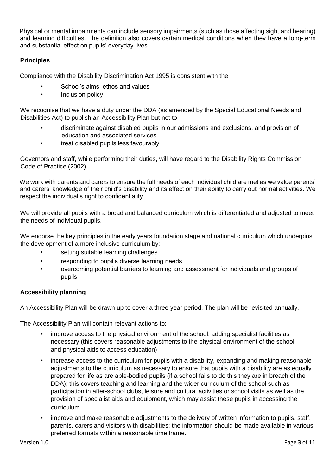Physical or mental impairments can include sensory impairments (such as those affecting sight and hearing) and learning difficulties. The definition also covers certain medical conditions when they have a long-term and substantial effect on pupils' everyday lives.

# **Principles**

Compliance with the Disability Discrimination Act 1995 is consistent with the:

- School's aims, ethos and values
- Inclusion policy

We recognise that we have a duty under the DDA (as amended by the Special Educational Needs and Disabilities Act) to publish an Accessibility Plan but not to:

- discriminate against disabled pupils in our admissions and exclusions, and provision of education and associated services
- treat disabled pupils less favourably

Governors and staff, while performing their duties, will have regard to the Disability Rights Commission Code of Practice (2002).

We work with parents and carers to ensure the full needs of each individual child are met as we value parents' and carers' knowledge of their child's disability and its effect on their ability to carry out normal activities. We respect the individual's right to confidentiality.

We will provide all pupils with a broad and balanced curriculum which is differentiated and adjusted to meet the needs of individual pupils.

We endorse the key principles in the early years foundation stage and national curriculum which underpins the development of a more inclusive curriculum by:

- setting suitable learning challenges
- responding to pupil's diverse learning needs
- overcoming potential barriers to learning and assessment for individuals and groups of pupils

# **Accessibility planning**

An Accessibility Plan will be drawn up to cover a three year period. The plan will be revisited annually.

The Accessibility Plan will contain relevant actions to:

- improve access to the physical environment of the school, adding specialist facilities as necessary (this covers reasonable adjustments to the physical environment of the school and physical aids to access education)
- increase access to the curriculum for pupils with a disability, expanding and making reasonable adjustments to the curriculum as necessary to ensure that pupils with a disability are as equally prepared for life as are able-bodied pupils (if a school fails to do this they are in breach of the DDA); this covers teaching and learning and the wider curriculum of the school such as participation in after-school clubs, leisure and cultural activities or school visits as well as the provision of specialist aids and equipment, which may assist these pupils in accessing the curriculum
- improve and make reasonable adjustments to the delivery of written information to pupils, staff, parents, carers and visitors with disabilities; the information should be made available in various preferred formats within a reasonable time frame.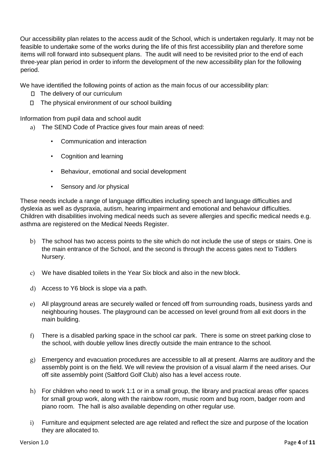Our accessibility plan relates to the access audit of the School, which is undertaken regularly. It may not be feasible to undertake some of the works during the life of this first accessibility plan and therefore some items will roll forward into subsequent plans. The audit will need to be revisited prior to the end of each three-year plan period in order to inform the development of the new accessibility plan for the following period.

We have identified the following points of action as the main focus of our accessibility plan:

- □ The delivery of our curriculum
- $\Box$  The physical environment of our school building

Information from pupil data and school audit

- a) The SEND Code of Practice gives four main areas of need:
	- Communication and interaction
	- Cognition and learning
	- Behaviour, emotional and social development
	- Sensory and /or physical

These needs include a range of language difficulties including speech and language difficulties and dyslexia as well as dyspraxia, autism, hearing impairment and emotional and behaviour difficulties. Children with disabilities involving medical needs such as severe allergies and specific medical needs e.g. asthma are registered on the Medical Needs Register.

- b) The school has two access points to the site which do not include the use of steps or stairs. One is the main entrance of the School, and the second is through the access gates next to Tiddlers Nursery.
- c) We have disabled toilets in the Year Six block and also in the new block.
- d) Access to Y6 block is slope via a path.
- e) All playground areas are securely walled or fenced off from surrounding roads, business yards and neighbouring houses. The playground can be accessed on level ground from all exit doors in the main building.
- f) There is a disabled parking space in the school car park. There is some on street parking close to the school, with double yellow lines directly outside the main entrance to the school.
- g) Emergency and evacuation procedures are accessible to all at present. Alarms are auditory and the assembly point is on the field. We will review the provision of a visual alarm if the need arises. Our off site assembly point (Saltford Golf Club) also has a level access route.
- h) For children who need to work 1:1 or in a small group, the library and practical areas offer spaces for small group work, along with the rainbow room, music room and bug room, badger room and piano room. The hall is also available depending on other regular use.
- i) Furniture and equipment selected are age related and reflect the size and purpose of the location they are allocated to.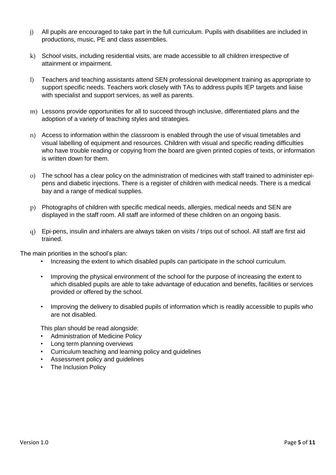- j) All pupils are encouraged to take part in the full curriculum. Pupils with disabilities are included in productions, music, PE and class assemblies.
- k) School visits, including residential visits, are made accessible to all children irrespective of attainment or impairment.
- l) Teachers and teaching assistants attend SEN professional development training as appropriate to support specific needs. Teachers work closely with TAs to address pupils IEP targets and liaise with specialist and support services, as well as parents.
- m) Lessons provide opportunities for all to succeed through inclusive, differentiated plans and the adoption of a variety of teaching styles and strategies.
- n) Access to information within the classroom is enabled through the use of visual timetables and visual labelling of equipment and resources. Children with visual and specific reading difficulties who have trouble reading or copying from the board are given printed copies of texts, or information is written down for them.
- o) The school has a clear policy on the administration of medicines with staff trained to administer epipens and diabetic injections. There is a register of children with medical needs. There is a medical bay and a range of medical supplies.
- p) Photographs of children with specific medical needs, allergies, medical needs and SEN are displayed in the staff room. All staff are informed of these children on an ongoing basis.
- q) Epi-pens, insulin and inhalers are always taken on visits / trips out of school. All staff are first aid trained.

The main priorities in the school's plan:

- Increasing the extent to which disabled pupils can participate in the school curriculum.
- Improving the physical environment of the school for the purpose of increasing the extent to which disabled pupils are able to take advantage of education and benefits, facilities or services provided or offered by the school.
- Improving the delivery to disabled pupils of information which is readily accessible to pupils who are not disabled.

This plan should be read alongside:

- Administration of Medicine Policy
- Long term planning overviews
- Curriculum teaching and learning policy and guidelines
- Assessment policy and guidelines
- The Inclusion Policy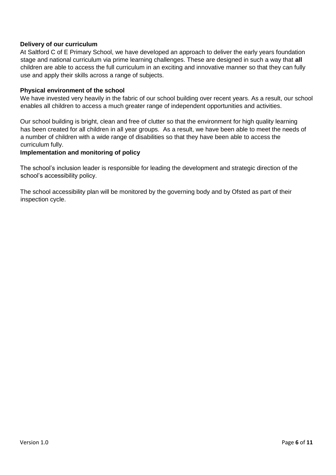#### **Delivery of our curriculum**

At Saltford C of E Primary School, we have developed an approach to deliver the early years foundation stage and national curriculum via prime learning challenges. These are designed in such a way that **all** children are able to access the full curriculum in an exciting and innovative manner so that they can fully use and apply their skills across a range of subjects.

#### **Physical environment of the school**

We have invested very heavily in the fabric of our school building over recent years. As a result, our school enables all children to access a much greater range of independent opportunities and activities.

Our school building is bright, clean and free of clutter so that the environment for high quality learning has been created for all children in all year groups. As a result, we have been able to meet the needs of a number of children with a wide range of disabilities so that they have been able to access the curriculum fully.

#### **Implementation and monitoring of policy**

The school's inclusion leader is responsible for leading the development and strategic direction of the school's accessibility policy.

The school accessibility plan will be monitored by the governing body and by Ofsted as part of their inspection cycle.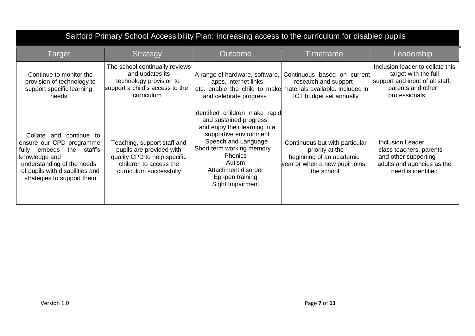| Saltford Primary School Accessibility Plan: Increasing access to the curriculum for disabled pupils                                                                                                   |                                                                                                                                              |                                                                                                                                                                                                                                                                    |                                                                                                                                                  |                                                                                                                                   |
|-------------------------------------------------------------------------------------------------------------------------------------------------------------------------------------------------------|----------------------------------------------------------------------------------------------------------------------------------------------|--------------------------------------------------------------------------------------------------------------------------------------------------------------------------------------------------------------------------------------------------------------------|--------------------------------------------------------------------------------------------------------------------------------------------------|-----------------------------------------------------------------------------------------------------------------------------------|
| Target                                                                                                                                                                                                | <b>Strategy</b>                                                                                                                              | <b>Outcome</b>                                                                                                                                                                                                                                                     | <b>Timeframe</b>                                                                                                                                 | Leadership                                                                                                                        |
| Continue to monitor the<br>provision of technology to<br>support specific learning<br>needs                                                                                                           | The school continually reviews<br>and updates its<br>technology provision to<br>support a child's access to the<br>curriculum                | A range of hardware, software,<br>apps, internet links<br>and celebrate progress                                                                                                                                                                                   | Continuous based on current<br>research and support<br>etc. enable the child to make materials available. Included in<br>ICT budget set annually | Inclusion leader to collate this<br>target with the full<br>support and input of all staff,<br>parents and other<br>professionals |
| Collate and continue to<br>ensure our CPD programme<br>the staff's<br>embeds<br>fully<br>knowledge and<br>understanding of the needs<br>of pupils with disabilities and<br>strategies to support them | Teaching, support staff and<br>pupils are provided with<br>quality CPD to help specific<br>children to access the<br>curriculum successfully | Identified children make rapid<br>and sustained progress<br>and enjoy their learning in a<br>supportive environment<br>Speech and Language<br>Short term working memory<br><b>Phonics</b><br>Autism<br>Attachment disorder<br>Epi-pen training<br>Sight Impairment | Continuous but with particular<br>priority at the<br>beginning of an academic<br>year or when a new pupil joins<br>the school                    | Inclusion Leader,<br>class teachers, parents<br>and other supporting<br>adults and agencies as the<br>need is identified          |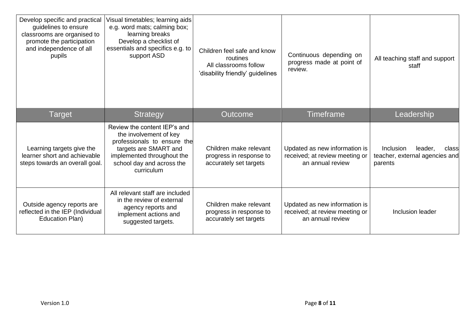| Develop specific and practical<br>guidelines to ensure<br>classrooms are organised to<br>promote the participation<br>and independence of all<br>pupils | Visual timetables; learning aids<br>e.g. word mats; calming box;<br>learning breaks<br>Develop a checklist of<br>essentials and specifics e.g. to<br>support ASD                        | Children feel safe and know<br>routines<br>All classrooms follow<br>'disability friendly' guidelines | Continuous depending on<br>progress made at point of<br>review.                     | All teaching staff and support<br>staff                                           |
|---------------------------------------------------------------------------------------------------------------------------------------------------------|-----------------------------------------------------------------------------------------------------------------------------------------------------------------------------------------|------------------------------------------------------------------------------------------------------|-------------------------------------------------------------------------------------|-----------------------------------------------------------------------------------|
| Target                                                                                                                                                  | <b>Strategy</b>                                                                                                                                                                         | <b>Outcome</b>                                                                                       | <b>Timeframe</b>                                                                    | Leadership                                                                        |
| Learning targets give the<br>learner short and achievable<br>steps towards an overall goal.                                                             | Review the content IEP's and<br>the involvement of key<br>professionals to ensure the<br>targets are SMART and<br>implemented throughout the<br>school day and across the<br>curriculum | Children make relevant<br>progress in response to<br>accurately set targets                          | Updated as new information is<br>received; at review meeting or<br>an annual review | <b>Inclusion</b><br>leader,<br>class<br>teacher, external agencies and<br>parents |
| Outside agency reports are<br>reflected in the IEP (Individual<br><b>Education Plan)</b>                                                                | All relevant staff are included<br>in the review of external<br>agency reports and<br>implement actions and<br>suggested targets.                                                       | Children make relevant<br>progress in response to<br>accurately set targets                          | Updated as new information is<br>received; at review meeting or<br>an annual review | Inclusion leader                                                                  |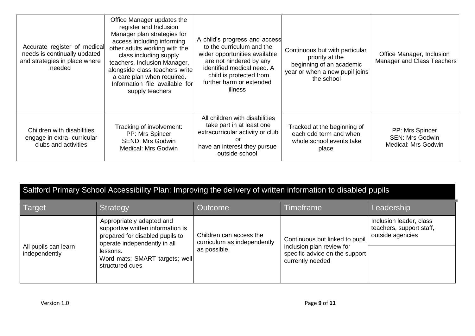| Accurate register of medical<br>needs is continually updated<br>and strategies in place where<br>needed | Office Manager updates the<br>register and Inclusion<br>Manager plan strategies for<br>access including informing<br>other adults working with the<br>class including supply<br>teachers. Inclusion Manager,<br>alongside class teachers write<br>a care plan when required.<br>Information file available for<br>supply teachers | A child's progress and access<br>to the curriculum and the<br>wider opportunities available<br>are not hindered by any<br>identified medical need. A<br>child is protected from<br>further harm or extended<br>illness | Continuous but with particular<br>priority at the<br>beginning of an academic<br>year or when a new pupil joins<br>the school | Office Manager, Inclusion<br>Manager and Class Teachers          |
|---------------------------------------------------------------------------------------------------------|-----------------------------------------------------------------------------------------------------------------------------------------------------------------------------------------------------------------------------------------------------------------------------------------------------------------------------------|------------------------------------------------------------------------------------------------------------------------------------------------------------------------------------------------------------------------|-------------------------------------------------------------------------------------------------------------------------------|------------------------------------------------------------------|
| Children with disabilities<br>engage in extra-curricular<br>clubs and activities                        | Tracking of involvement:<br>PP: Mrs Spincer<br><b>SEND: Mrs Godwin</b><br><b>Medical: Mrs Godwin</b>                                                                                                                                                                                                                              | All children with disabilities<br>take part in at least one<br>extracurricular activity or club<br>or<br>have an interest they pursue<br>outside school                                                                | Tracked at the beginning of<br>each odd term and when<br>whole school events take<br>place                                    | PP: Mrs Spincer<br><b>SEN: Mrs Godwin</b><br>Medical: Mrs Godwin |

| Saltford Primary School Accessibility Plan: Improving the delivery of written information to disabled pupils |                                                                                                                                                                                                    |                                                                        |                                                                                                                   |                                                                         |
|--------------------------------------------------------------------------------------------------------------|----------------------------------------------------------------------------------------------------------------------------------------------------------------------------------------------------|------------------------------------------------------------------------|-------------------------------------------------------------------------------------------------------------------|-------------------------------------------------------------------------|
| Target                                                                                                       | Strategy                                                                                                                                                                                           | Outcome                                                                | Timeframe                                                                                                         | Leadership                                                              |
| All pupils can learn<br>independently                                                                        | Appropriately adapted and<br>supportive written information is<br>prepared for disabled pupils to<br>operate independently in all<br>lessons.<br>Word mats; SMART targets; well<br>structured cues | Children can access the<br>curriculum as independently<br>as possible. | Continuous but linked to pupil<br>inclusion plan review for<br>specific advice on the support<br>currently needed | Inclusion leader, class<br>teachers, support staff,<br>outside agencies |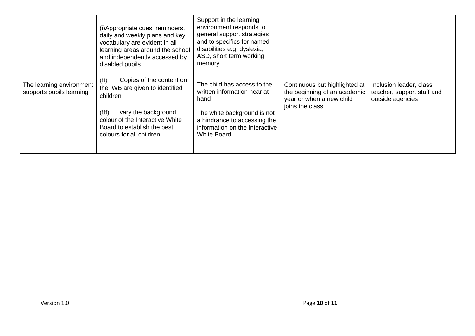|                                                      | (i) Appropriate cues, reminders,<br>daily and weekly plans and key<br>vocabulary are evident in all<br>learning areas around the school<br>and independently accessed by<br>disabled pupils | Support in the learning<br>environment responds to<br>general support strategies<br>and to specifics for named<br>disabilities e.g. dyslexia,<br>ASD, short term working<br>memory |                                                                                           |                                                                           |
|------------------------------------------------------|---------------------------------------------------------------------------------------------------------------------------------------------------------------------------------------------|------------------------------------------------------------------------------------------------------------------------------------------------------------------------------------|-------------------------------------------------------------------------------------------|---------------------------------------------------------------------------|
| The learning environment<br>supports pupils learning | (ii)<br>Copies of the content on<br>the IWB are given to identified<br>children                                                                                                             | The child has access to the<br>written information near at<br>hand                                                                                                                 | Continuous but highlighted at<br>the beginning of an academic<br>year or when a new child | Inclusion leader, class<br>teacher, support staff and<br>outside agencies |
|                                                      | (iii)<br>vary the background<br>colour of the Interactive White<br>Board to establish the best<br>colours for all children                                                                  | The white background is not<br>a hindrance to accessing the<br>information on the Interactive<br><b>White Board</b>                                                                | joins the class                                                                           |                                                                           |